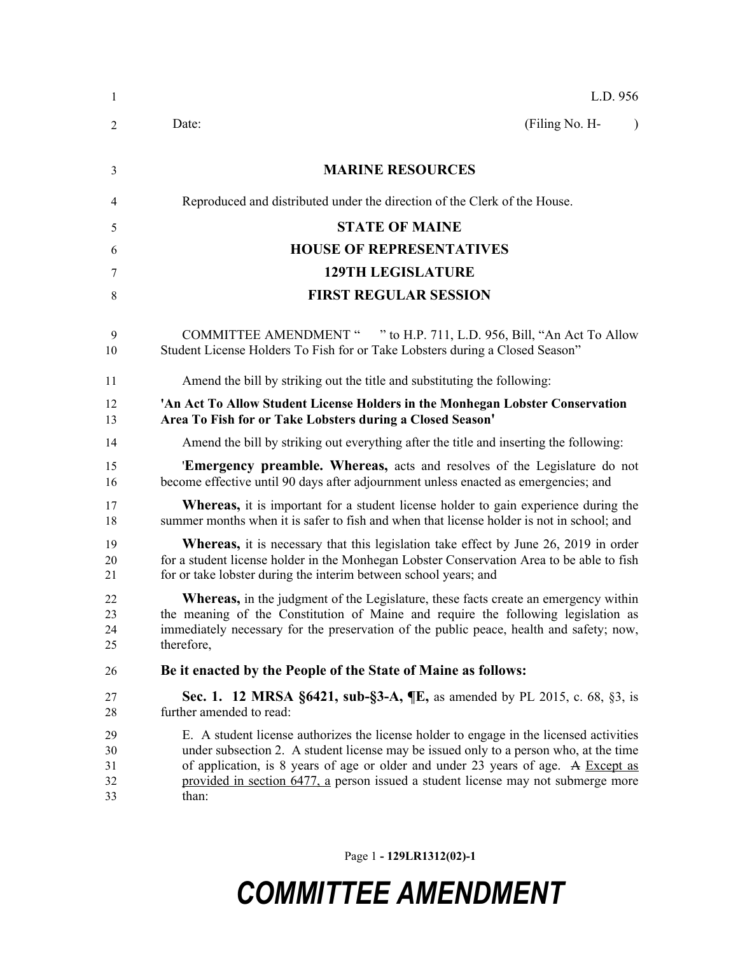| 1                          | L.D. 956                                                                                                                                                                                                                                                                                                                                                            |
|----------------------------|---------------------------------------------------------------------------------------------------------------------------------------------------------------------------------------------------------------------------------------------------------------------------------------------------------------------------------------------------------------------|
| $\overline{2}$             | (Filing No. H-<br>Date:<br>$\lambda$                                                                                                                                                                                                                                                                                                                                |
| 3                          | <b>MARINE RESOURCES</b>                                                                                                                                                                                                                                                                                                                                             |
| 4                          | Reproduced and distributed under the direction of the Clerk of the House.                                                                                                                                                                                                                                                                                           |
| 5                          | <b>STATE OF MAINE</b>                                                                                                                                                                                                                                                                                                                                               |
| 6                          | <b>HOUSE OF REPRESENTATIVES</b>                                                                                                                                                                                                                                                                                                                                     |
| 7                          | <b>129TH LEGISLATURE</b>                                                                                                                                                                                                                                                                                                                                            |
| 8                          | <b>FIRST REGULAR SESSION</b>                                                                                                                                                                                                                                                                                                                                        |
| 9<br>10                    | COMMITTEE AMENDMENT " " to H.P. 711, L.D. 956, Bill, "An Act To Allow<br>Student License Holders To Fish for or Take Lobsters during a Closed Season"                                                                                                                                                                                                               |
| 11                         | Amend the bill by striking out the title and substituting the following:                                                                                                                                                                                                                                                                                            |
| 12<br>13                   | 'An Act To Allow Student License Holders in the Monhegan Lobster Conservation<br>Area To Fish for or Take Lobsters during a Closed Season'                                                                                                                                                                                                                          |
| 14                         | Amend the bill by striking out everything after the title and inserting the following:                                                                                                                                                                                                                                                                              |
| 15<br>16                   | 'Emergency preamble. Whereas, acts and resolves of the Legislature do not<br>become effective until 90 days after adjournment unless enacted as emergencies; and                                                                                                                                                                                                    |
| 17<br>18                   | <b>Whereas,</b> it is important for a student license holder to gain experience during the<br>summer months when it is safer to fish and when that license holder is not in school; and                                                                                                                                                                             |
| 19<br>20<br>21             | <b>Whereas,</b> it is necessary that this legislation take effect by June 26, 2019 in order<br>for a student license holder in the Monhegan Lobster Conservation Area to be able to fish<br>for or take lobster during the interim between school years; and                                                                                                        |
| 22<br>23<br>24<br>25       | <b>Whereas,</b> in the judgment of the Legislature, these facts create an emergency within<br>the meaning of the Constitution of Maine and require the following legislation as<br>immediately necessary for the preservation of the public peace, health and safety; now,<br>therefore,                                                                            |
| 26                         | Be it enacted by the People of the State of Maine as follows:                                                                                                                                                                                                                                                                                                       |
| 27<br>28                   | <b>Sec. 1. 12 MRSA §6421, sub-§3-A, ¶E, as amended by PL 2015, c. 68, §3, is</b><br>further amended to read:                                                                                                                                                                                                                                                        |
| 29<br>30<br>31<br>32<br>33 | E. A student license authorizes the license holder to engage in the licensed activities<br>under subsection 2. A student license may be issued only to a person who, at the time<br>of application, is 8 years of age or older and under 23 years of age. A Except as<br>provided in section 6477, a person issued a student license may not submerge more<br>than: |

Page 1 **- 129LR1312(02)-1**

## *COMMITTEE AMENDMENT*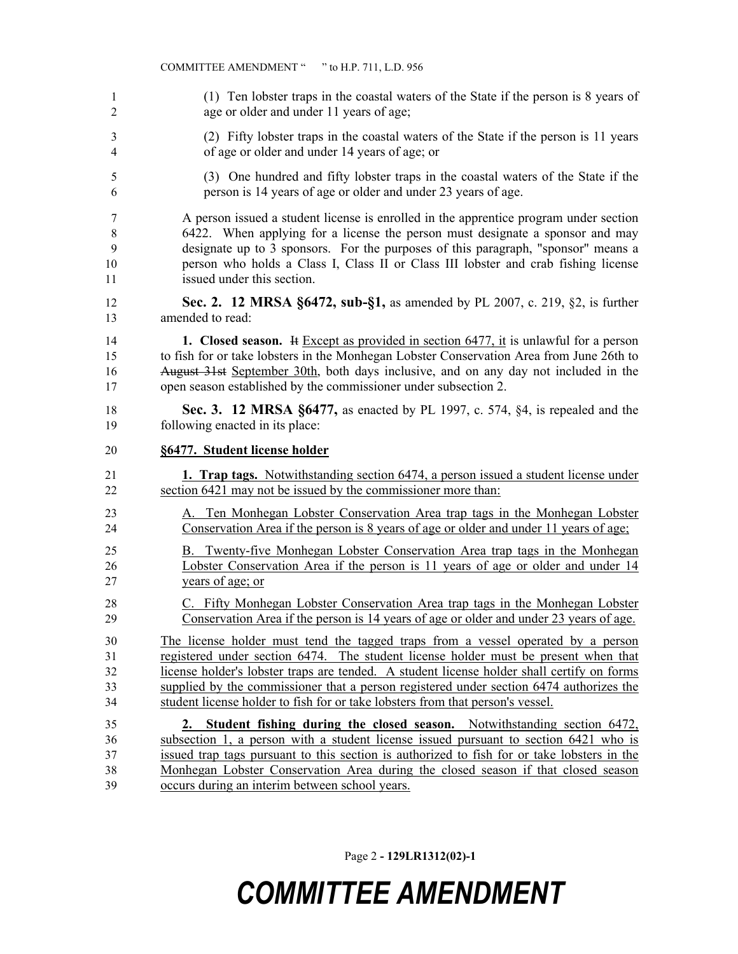|                | COMMITTEE AMENDMENT " " to H.P. 711, L.D. 956                                                  |
|----------------|------------------------------------------------------------------------------------------------|
| 1              | (1) Ten lobster traps in the coastal waters of the State if the person is 8 years of           |
| $\overline{2}$ | age or older and under 11 years of age;                                                        |
| 3              | (2) Fifty lobster traps in the coastal waters of the State if the person is 11 years           |
| 4              | of age or older and under 14 years of age; or                                                  |
| 5              | (3) One hundred and fifty lobster traps in the coastal waters of the State if the              |
| 6              | person is 14 years of age or older and under 23 years of age.                                  |
| 7              | A person issued a student license is enrolled in the apprentice program under section          |
| 8              | 6422. When applying for a license the person must designate a sponsor and may                  |
| 9              | designate up to 3 sponsors. For the purposes of this paragraph, "sponsor" means a              |
| 10             | person who holds a Class I, Class II or Class III lobster and crab fishing license             |
| 11             | issued under this section.                                                                     |
| 12             | Sec. 2. 12 MRSA §6472, sub-§1, as amended by PL 2007, c. 219, §2, is further                   |
| 13             | amended to read:                                                                               |
| 14             | <b>1.</b> Closed season. It Except as provided in section $6477$ , it is unlawful for a person |
| 15             | to fish for or take lobsters in the Monhegan Lobster Conservation Area from June 26th to       |
| 16             | August 31st September 30th, both days inclusive, and on any day not included in the            |
| 17             | open season established by the commissioner under subsection 2.                                |
| 18             | <b>Sec. 3. 12 MRSA §6477, as enacted by PL 1997, c. 574, §4, is repealed and the</b>           |
| 19             | following enacted in its place:                                                                |
| 20             | §6477. Student license holder                                                                  |
| 21             | <b>1. Trap tags.</b> Notwithstanding section 6474, a person issued a student license under     |
| 22             | section 6421 may not be issued by the commissioner more than:                                  |
| 23             | A. Ten Monhegan Lobster Conservation Area trap tags in the Monhegan Lobster                    |
| 24             | Conservation Area if the person is 8 years of age or older and under 11 years of age.          |
| 25             | B. Twenty-five Monhegan Lobster Conservation Area trap tags in the Monhegan                    |
| 26             | Lobster Conservation Area if the person is 11 years of age or older and under 14               |
| 27             | years of age; or                                                                               |
| 28             | C. Fifty Monhegan Lobster Conservation Area trap tags in the Monhegan Lobster                  |
| 29             | Conservation Area if the person is 14 years of age or older and under 23 years of age.         |
| 30             | The license holder must tend the tagged traps from a vessel operated by a person               |
| 31             | registered under section 6474. The student license holder must be present when that            |
| 32             | license holder's lobster traps are tended. A student license holder shall certify on forms     |
| 33             | supplied by the commissioner that a person registered under section 6474 authorizes the        |
| 34             | student license holder to fish for or take lobsters from that person's vessel.                 |
| 35             | 2. Student fishing during the closed season. Notwithstanding section 6472,                     |
| 36             | subsection 1, a person with a student license issued pursuant to section 6421 who is           |
| 37             | issued trap tags pursuant to this section is authorized to fish for or take lobsters in the    |
| 38             | Monhegan Lobster Conservation Area during the closed season if that closed season              |
| 39             | occurs during an interim between school years.                                                 |

Page 2 **- 129LR1312(02)-1**

## *COMMITTEE AMENDMENT*